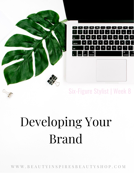

## Six-Figure Stylist | Week 8

# Developing Your Brand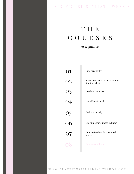#### SIX - FIGURE STYLIST | WEEK 8

## T H E C O U R S E S *at a glance*

r.

| ( )1            | Non-negotiables                                     |
|-----------------|-----------------------------------------------------|
| <b>O2</b>       | Master your energy + overcoming<br>limiting beliefs |
|                 | <b>Creating Boundaries</b>                          |
| 03<br>04        | <b>Time Management</b>                              |
| $\frac{05}{06}$ | Define your "why"                                   |
|                 | The numbers you need to know                        |
| <b>O7</b>       | How to stand out in a crowded<br>market             |
| $\Omega$        | Develop your brand                                  |
|                 |                                                     |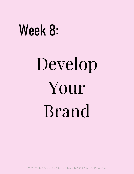# Week 8:

# Develop Your Brand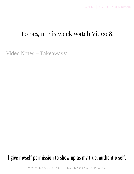#### To begin this week watch Video 8.

Video Notes + Takeaways:

#### I give myself permission to show up as my true, authentic self.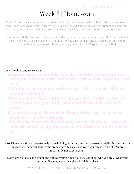## Week 8 | Homework

Now we're super clear on how we can stand out  $\mathcal G$  show up! Let's actually embody this higher version of you! There needs to be some cohesiveness to you as a brand. Some kind of recognition. When someone searches you or is referred to you, you need to be able to grab them on the first impression.

Your homework this week is to take a social media/digital inventory. Social media is often times the first place people go to check you out as a potential stylist. Scroll your Instagram feed. Does this person accurately reflect you  $\mathcal G$  your brand (or what you want to be)? Explain what you find:

#### Social Media/Branding To-Do List:

- 1.Consider scheduling a branding photo shoot or grab a few shots of you working behind the chair to post. (you can have another stylist take these if your note quite ready for professional shots)
- 2.Schedule a day in to style some hair models (your clients!). Grab great photos of their new colors, cut or style to post.
- 3.Clean up you feed to reflect your brand. At a minimum, archive any pictures that don't serve or speak to your current goals. If needed, create a brand new page just for your brand & business.
- Start to post work you want to be known for. Create a checklist of what you want on your 4. page so you can map out scheduled posts.
- 5. If social media isn't your thing, think about hiring a service for this. There are so really good services that can make your page look super professional & write, create and post content for you!

#### A social media audit can be extremely overwhelming, especially for the not-so-savy stylist. But getting this in order will help you define your brand  $\mathcal C$  create a cohesive voice you can be proud of ( $\mathcal C$  more importantly not stress about!).

Every step you make is a step in the right direction. Once you get clear about who you are  $\mathcal G$  what your brand is all about, everything else will fall into place.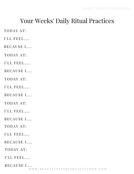#### Your Weeks' Daily Ritual Practices

TODAY AT:

I'LL FEEL....

BECAUSE I....

TODAY AT:

I'LL FEEL....

BECAUSE I....

TODAY AT:

I'LL FEEL....

BECAUSE I....

TODAY AT:

 $I'LL$  FEEL....

BECAUSE I....

TODAY AT:

 $I'LL$  FEEL....

BECAUSE I....

TODAY AT:

I'LL FEEL....

BECAUSE I....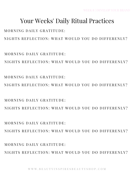MORNING DAILY GRATITUDE: NIGHTS REFLECTION: WHAT WOULD YOU DO DIFFERENLY?

 $M$  O R N I N G D A I L Y G R A T I T U D E  $\cdot$ NIGHTS REFLECTION: WHAT WOULD YOU DO DIFFERENLY?

MORNING DAILY GRATITUDE: NIGHTS REFLECTION: WHAT WOULD YOU DO DIFFERENLY?

NIGHTS REFLECTION: WHAT WOULD YOU DO DIFFERENLY?

NIGHTS REFLECTION: WHAT WOULD YOU DO DIFFERENLY?

#### MORNING DAILY GRATITUDE:

 $MORNING$  DAILY GRATITUDE.

MORNING DAILY GRATITUDE:

Your Weeks' Daily Ritual Practices

NIGHTS REFLECTION: WHAT WOULD YOU DO DIFFERENLY?

WEEK 8 | DEVELOP YOUR BRAND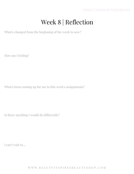## Week 8 | Reflection

What's changed from the beginning of the week to now?

How am I feeling?

What's been coming up for me in this week's assignments?

Is there anything I would do differently?

I can't wait to....